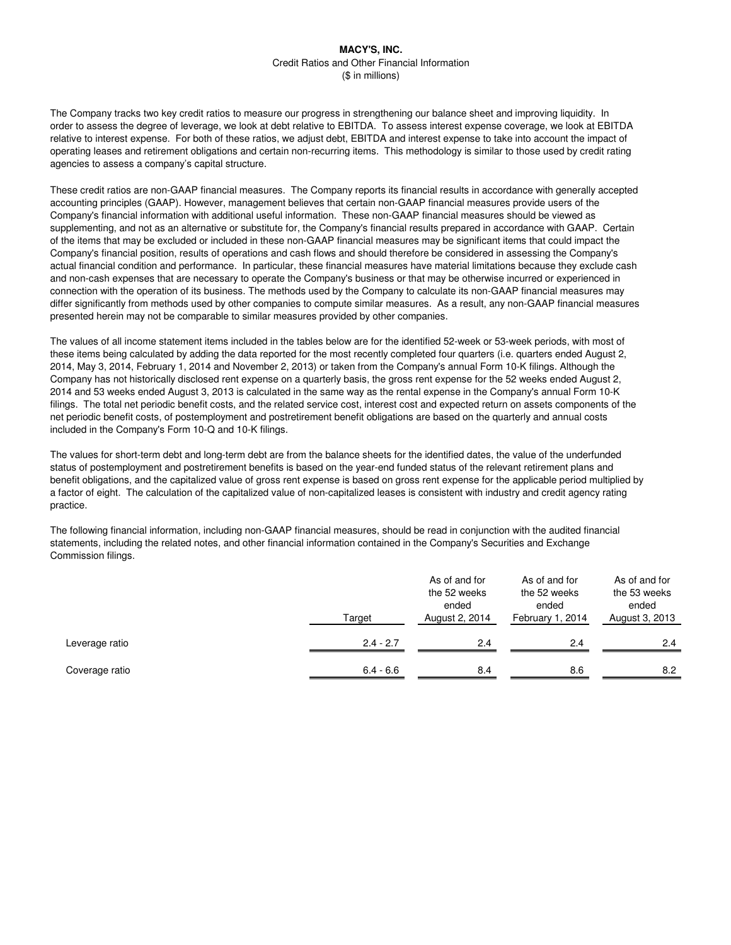The Company tracks two key credit ratios to measure our progress in strengthening our balance sheet and improving liquidity. In order to assess the degree of leverage, we look at debt relative to EBITDA. To assess interest expense coverage, we look at EBITDA relative to interest expense. For both of these ratios, we adjust debt, EBITDA and interest expense to take into account the impact of operating leases and retirement obligations and certain non-recurring items. This methodology is similar to those used by credit rating agencies to assess a company's capital structure.

These credit ratios are non-GAAP financial measures. The Company reports its financial results in accordance with generally accepted accounting principles (GAAP). However, management believes that certain non-GAAP financial measures provide users of the Company's financial information with additional useful information. These non-GAAP financial measures should be viewed as supplementing, and not as an alternative or substitute for, the Company's financial results prepared in accordance with GAAP. Certain of the items that may be excluded or included in these non-GAAP financial measures may be significant items that could impact the Company's financial position, results of operations and cash flows and should therefore be considered in assessing the Company's actual financial condition and performance. In particular, these financial measures have material limitations because they exclude cash and non-cash expenses that are necessary to operate the Company's business or that may be otherwise incurred or experienced in connection with the operation of its business. The methods used by the Company to calculate its non-GAAP financial measures may differ significantly from methods used by other companies to compute similar measures. As a result, any non-GAAP financial measures presented herein may not be comparable to similar measures provided by other companies.

The values of all income statement items included in the tables below are for the identified 52-week or 53-week periods, with most of these items being calculated by adding the data reported for the most recently completed four quarters (i.e. quarters ended August 2, 2014, May 3, 2014, February 1, 2014 and November 2, 2013) or taken from the Company's annual Form 10-K filings. Although the Company has not historically disclosed rent expense on a quarterly basis, the gross rent expense for the 52 weeks ended August 2, 2014 and 53 weeks ended August 3, 2013 is calculated in the same way as the rental expense in the Company's annual Form 10-K filings. The total net periodic benefit costs, and the related service cost, interest cost and expected return on assets components of the net periodic benefit costs, of postemployment and postretirement benefit obligations are based on the quarterly and annual costs included in the Company's Form 10-Q and 10-K filings.

The values for short-term debt and long-term debt are from the balance sheets for the identified dates, the value of the underfunded status of postemployment and postretirement benefits is based on the year-end funded status of the relevant retirement plans and benefit obligations, and the capitalized value of gross rent expense is based on gross rent expense for the applicable period multiplied by a factor of eight. The calculation of the capitalized value of non-capitalized leases is consistent with industry and credit agency rating practice.

The following financial information, including non-GAAP financial measures, should be read in conjunction with the audited financial statements, including the related notes, and other financial information contained in the Company's Securities and Exchange Commission filings.

|                | Target      | As of and for<br>the 52 weeks<br>ended<br>August 2, 2014 | As of and for<br>the 52 weeks<br>ended<br>February 1, 2014 | As of and for<br>the 53 weeks<br>ended<br>August 3, 2013 |
|----------------|-------------|----------------------------------------------------------|------------------------------------------------------------|----------------------------------------------------------|
| Leverage ratio | $2.4 - 2.7$ | 2.4                                                      | 2.4                                                        | 2.4                                                      |
| Coverage ratio | $6.4 - 6.6$ | 8.4                                                      | 8.6                                                        | 8.2                                                      |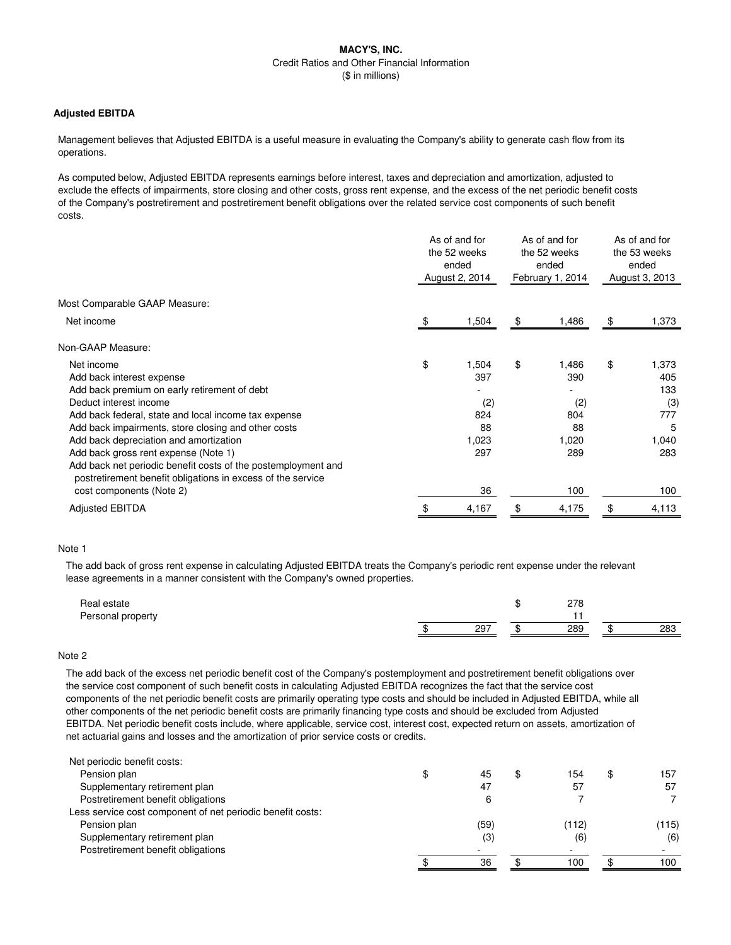### **Adjusted EBITDA**

Management believes that Adjusted EBITDA is a useful measure in evaluating the Company's ability to generate cash flow from its operations.

As computed below, Adjusted EBITDA represents earnings before interest, taxes and depreciation and amortization, adjusted to exclude the effects of impairments, store closing and other costs, gross rent expense, and the excess of the net periodic benefit costs of the Company's postretirement and postretirement benefit obligations over the related service cost components of such benefit costs.

|                                                                                                                              | As of and for<br>the 52 weeks<br>ended<br>August 2, 2014 |       | As of and for<br>the 52 weeks<br>ended<br>February 1, 2014 |       | As of and for<br>the 53 weeks<br>ended<br>August 3, 2013 |       |
|------------------------------------------------------------------------------------------------------------------------------|----------------------------------------------------------|-------|------------------------------------------------------------|-------|----------------------------------------------------------|-------|
| Most Comparable GAAP Measure:                                                                                                |                                                          |       |                                                            |       |                                                          |       |
| Net income                                                                                                                   | \$.                                                      | 1,504 | \$                                                         | 1,486 | \$                                                       | 1,373 |
| Non-GAAP Measure:                                                                                                            |                                                          |       |                                                            |       |                                                          |       |
| Net income                                                                                                                   | \$                                                       | 1,504 | \$                                                         | 1.486 | \$                                                       | 1,373 |
| Add back interest expense                                                                                                    |                                                          | 397   |                                                            | 390   |                                                          | 405   |
| Add back premium on early retirement of debt                                                                                 |                                                          |       |                                                            |       |                                                          | 133   |
| Deduct interest income                                                                                                       |                                                          | (2)   |                                                            | (2)   |                                                          | (3)   |
| Add back federal, state and local income tax expense                                                                         |                                                          | 824   |                                                            | 804   |                                                          | 777   |
| Add back impairments, store closing and other costs                                                                          |                                                          | 88    |                                                            | 88    |                                                          | 5     |
| Add back depreciation and amortization                                                                                       |                                                          | 1,023 |                                                            | 1,020 |                                                          | 1,040 |
| Add back gross rent expense (Note 1)                                                                                         |                                                          | 297   |                                                            | 289   |                                                          | 283   |
| Add back net periodic benefit costs of the postemployment and<br>postretirement benefit obligations in excess of the service |                                                          |       |                                                            |       |                                                          |       |
| cost components (Note 2)                                                                                                     |                                                          | 36    |                                                            | 100   |                                                          | 100   |
| <b>Adjusted EBITDA</b>                                                                                                       | \$                                                       | 4,167 | \$                                                         | 4,175 | \$                                                       | 4,113 |

#### Note 1

The add back of gross rent expense in calculating Adjusted EBITDA treats the Company's periodic rent expense under the relevant lease agreements in a manner consistent with the Company's owned properties.

| Real estate       |     | 070<br>270 |    |     |
|-------------------|-----|------------|----|-----|
| Personal property |     |            |    |     |
|                   | 297 | 289        | ٠n | 283 |

#### Note 2

The add back of the excess net periodic benefit cost of the Company's postemployment and postretirement benefit obligations over the service cost component of such benefit costs in calculating Adjusted EBITDA recognizes the fact that the service cost components of the net periodic benefit costs are primarily operating type costs and should be included in Adjusted EBITDA, while all other components of the net periodic benefit costs are primarily financing type costs and should be excluded from Adjusted EBITDA. Net periodic benefit costs include, where applicable, service cost, interest cost, expected return on assets, amortization of net actuarial gains and losses and the amortization of prior service costs or credits.

| Net periodic benefit costs:                                |      |       |           |
|------------------------------------------------------------|------|-------|-----------|
| Pension plan                                               | 45   | 154   | \$<br>157 |
| Supplementary retirement plan                              | 47   | 57    | 57        |
| Postretirement benefit obligations                         |      |       |           |
| Less service cost component of net periodic benefit costs: |      |       |           |
| Pension plan                                               | (59) | (112) | (115)     |
| Supplementary retirement plan                              | (3)  | (6    | (6)       |
| Postretirement benefit obligations                         |      | -     |           |
|                                                            | 36   | 100   | 100       |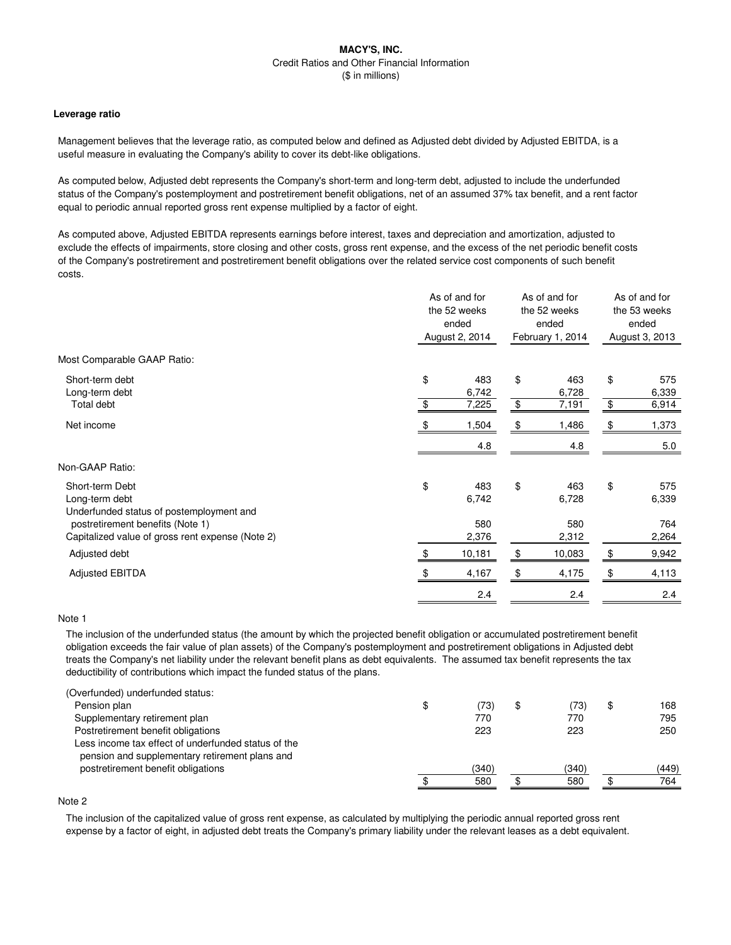#### **Leverage ratio**

Management believes that the leverage ratio, as computed below and defined as Adjusted debt divided by Adjusted EBITDA, is a useful measure in evaluating the Company's ability to cover its debt-like obligations.

As computed below, Adjusted debt represents the Company's short-term and long-term debt, adjusted to include the underfunded status of the Company's postemployment and postretirement benefit obligations, net of an assumed 37% tax benefit, and a rent factor equal to periodic annual reported gross rent expense multiplied by a factor of eight.

As computed above, Adjusted EBITDA represents earnings before interest, taxes and depreciation and amortization, adjusted to exclude the effects of impairments, store closing and other costs, gross rent expense, and the excess of the net periodic benefit costs of the Company's postretirement and postretirement benefit obligations over the related service cost components of such benefit costs.

| Most Comparable GAAP Ratio:<br>\$<br>\$<br>\$<br>Short-term debt<br>483<br>463<br>Long-term debt<br>6,742<br>6,728<br>$\,$<br>\$<br>\$<br>Total debt<br>7,225<br>7,191<br>Net income<br>1,504<br>1,486<br>\$<br>\$<br>4.8<br>4.8<br>Non-GAAP Ratio:<br>\$<br>\$<br>\$<br>Short-term Debt<br>483<br>463<br>Long-term debt<br>6,742<br>6,728<br>Underfunded status of postemployment and<br>580<br>postretirement benefits (Note 1)<br>580<br>2,264<br>Capitalized value of gross rent expense (Note 2)<br>2,376<br>2,312<br>10,181<br>\$<br>10,083<br>\$<br>9,942<br>Adjusted debt<br>\$<br>\$<br><b>Adjusted EBITDA</b><br>4,167<br>4,175<br>2.4<br>2.4 |  | As of and for<br>the 52 weeks<br>ended<br>August 2, 2014 |  | As of and for<br>the 52 weeks<br>ended<br>February 1, 2014 |  | As of and for<br>the 53 weeks<br>ended<br>August 3, 2013 |  |
|---------------------------------------------------------------------------------------------------------------------------------------------------------------------------------------------------------------------------------------------------------------------------------------------------------------------------------------------------------------------------------------------------------------------------------------------------------------------------------------------------------------------------------------------------------------------------------------------------------------------------------------------------------|--|----------------------------------------------------------|--|------------------------------------------------------------|--|----------------------------------------------------------|--|
|                                                                                                                                                                                                                                                                                                                                                                                                                                                                                                                                                                                                                                                         |  |                                                          |  |                                                            |  |                                                          |  |
|                                                                                                                                                                                                                                                                                                                                                                                                                                                                                                                                                                                                                                                         |  |                                                          |  |                                                            |  | 575<br>6,339                                             |  |
|                                                                                                                                                                                                                                                                                                                                                                                                                                                                                                                                                                                                                                                         |  |                                                          |  |                                                            |  | 6,914                                                    |  |
|                                                                                                                                                                                                                                                                                                                                                                                                                                                                                                                                                                                                                                                         |  |                                                          |  |                                                            |  | 1,373                                                    |  |
|                                                                                                                                                                                                                                                                                                                                                                                                                                                                                                                                                                                                                                                         |  |                                                          |  |                                                            |  | $5.0\,$                                                  |  |
|                                                                                                                                                                                                                                                                                                                                                                                                                                                                                                                                                                                                                                                         |  |                                                          |  |                                                            |  |                                                          |  |
|                                                                                                                                                                                                                                                                                                                                                                                                                                                                                                                                                                                                                                                         |  |                                                          |  |                                                            |  | 575<br>6,339<br>764                                      |  |
|                                                                                                                                                                                                                                                                                                                                                                                                                                                                                                                                                                                                                                                         |  |                                                          |  |                                                            |  |                                                          |  |
|                                                                                                                                                                                                                                                                                                                                                                                                                                                                                                                                                                                                                                                         |  |                                                          |  |                                                            |  |                                                          |  |
|                                                                                                                                                                                                                                                                                                                                                                                                                                                                                                                                                                                                                                                         |  |                                                          |  |                                                            |  | 4,113                                                    |  |
|                                                                                                                                                                                                                                                                                                                                                                                                                                                                                                                                                                                                                                                         |  |                                                          |  |                                                            |  | 2.4                                                      |  |

## Note 1

The inclusion of the underfunded status (the amount by which the projected benefit obligation or accumulated postretirement benefit obligation exceeds the fair value of plan assets) of the Company's postemployment and postretirement obligations in Adjusted debt treats the Company's net liability under the relevant benefit plans as debt equivalents. The assumed tax benefit represents the tax deductibility of contributions which impact the funded status of the plans.

| (Overfunded) underfunded status:                                                                      |           |       |           |
|-------------------------------------------------------------------------------------------------------|-----------|-------|-----------|
| Pension plan                                                                                          | \$<br>73) | ,73)  | \$<br>168 |
| Supplementary retirement plan                                                                         | 770       | 770   | 795       |
| Postretirement benefit obligations                                                                    | 223       | 223   | 250       |
| Less income tax effect of underfunded status of the<br>pension and supplementary retirement plans and |           |       |           |
| postretirement benefit obligations                                                                    | (340)     | (340) | (449)     |
|                                                                                                       | 580       | 580   | 764       |
|                                                                                                       |           |       |           |

# Note 2

The inclusion of the capitalized value of gross rent expense, as calculated by multiplying the periodic annual reported gross rent expense by a factor of eight, in adjusted debt treats the Company's primary liability under the relevant leases as a debt equivalent.